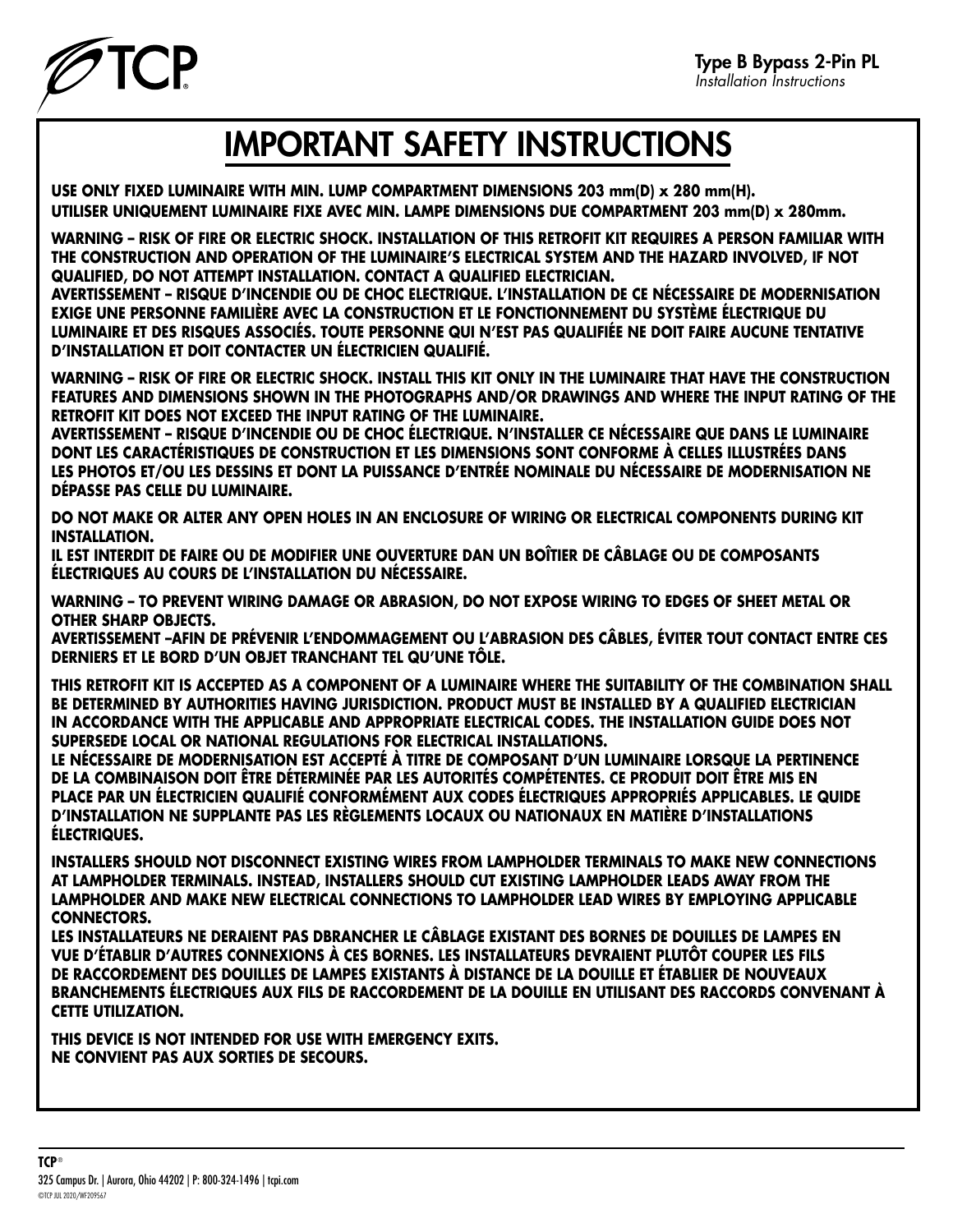

## IMPORTANT SAFETY INSTRUCTIONS

**USE ONLY FIXED LUMINAIRE WITH MIN. LUMP COMPARTMENT DIMENSIONS 203 mm(D) x 280 mm(H). UTILISER UNIQUEMENT LUMINAIRE FIXE AVEC MIN. LAMPE DIMENSIONS DUE COMPARTMENT 203 mm(D) x 280mm.**

**WARNING – RISK OF FIRE OR ELECTRIC SHOCK. INSTALLATION OF THIS RETROFIT KIT REQUIRES A PERSON FAMILIAR WITH THE CONSTRUCTION AND OPERATION OF THE LUMINAIRE'S ELECTRICAL SYSTEM AND THE HAZARD INVOLVED, IF NOT QUALIFIED, DO NOT ATTEMPT INSTALLATION. CONTACT A QUALIFIED ELECTRICIAN.** 

**AVERTISSEMENT – RISQUE D'INCENDIE OU DE CHOC ELECTRIQUE. L'INSTALLATION DE CE NÉCESSAIRE DE MODERNISATION EXIGE UNE PERSONNE FAMILIÈRE AVEC LA CONSTRUCTION ET LE FONCTIONNEMENT DU SYSTÈME ÉLECTRIQUE DU LUMINAIRE ET DES RISQUES ASSOCIÉS. TOUTE PERSONNE QUI N'EST PAS QUALIFIÉE NE DOIT FAIRE AUCUNE TENTATIVE D'INSTALLATION ET DOIT CONTACTER UN ÉLECTRICIEN QUALIFIÉ.**

**WARNING – RISK OF FIRE OR ELECTRIC SHOCK. INSTALL THIS KIT ONLY IN THE LUMINAIRE THAT HAVE THE CONSTRUCTION FEATURES AND DIMENSIONS SHOWN IN THE PHOTOGRAPHS AND/OR DRAWINGS AND WHERE THE INPUT RATING OF THE RETROFIT KIT DOES NOT EXCEED THE INPUT RATING OF THE LUMINAIRE.**

**AVERTISSEMENT – RISQUE D'INCENDIE OU DE CHOC ÉLECTRIQUE. N'INSTALLER CE NÉCESSAIRE QUE DANS LE LUMINAIRE DONT LES CARACTÉRISTIQUES DE CONSTRUCTION ET LES DIMENSIONS SONT CONFORME À CELLES ILLUSTRÉES DANS LES PHOTOS ET/OU LES DESSINS ET DONT LA PUISSANCE D'ENTRÉE NOMINALE DU NÉCESSAIRE DE MODERNISATION NE DÉPASSE PAS CELLE DU LUMINAIRE.**

**DO NOT MAKE OR ALTER ANY OPEN HOLES IN AN ENCLOSURE OF WIRING OR ELECTRICAL COMPONENTS DURING KIT INSTALLATION.** 

**IL EST INTERDIT DE FAIRE OU DE MODIFIER UNE OUVERTURE DAN UN BOÎTIER DE CÂBLAGE OU DE COMPOSANTS ÉLECTRIQUES AU COURS DE L'INSTALLATION DU NÉCESSAIRE.**

**WARNING – TO PREVENT WIRING DAMAGE OR ABRASION, DO NOT EXPOSE WIRING TO EDGES OF SHEET METAL OR OTHER SHARP OBJECTS.**

**AVERTISSEMENT –AFIN DE PRÉVENIR L'ENDOMMAGEMENT OU L'ABRASION DES CÂBLES, ÉVITER TOUT CONTACT ENTRE CES DERNIERS ET LE BORD D'UN OBJET TRANCHANT TEL QU'UNE TÔLE.**

**THIS RETROFIT KIT IS ACCEPTED AS A COMPONENT OF A LUMINAIRE WHERE THE SUITABILITY OF THE COMBINATION SHALL BE DETERMINED BY AUTHORITIES HAVING JURISDICTION. PRODUCT MUST BE INSTALLED BY A QUALIFIED ELECTRICIAN IN ACCORDANCE WITH THE APPLICABLE AND APPROPRIATE ELECTRICAL CODES. THE INSTALLATION GUIDE DOES NOT SUPERSEDE LOCAL OR NATIONAL REGULATIONS FOR ELECTRICAL INSTALLATIONS.**

**LE NÉCESSAIRE DE MODERNISATION EST ACCEPTÉ À TITRE DE COMPOSANT D'UN LUMINAIRE LORSQUE LA PERTINENCE DE LA COMBINAISON DOIT ÊTRE DÉTERMINÉE PAR LES AUTORITÉS COMPÉTENTES. CE PRODUIT DOIT ÊTRE MIS EN PLACE PAR UN ÉLECTRICIEN QUALIFIÉ CONFORMÉMENT AUX CODES ÉLECTRIQUES APPROPRIÉS APPLICABLES. LE QUIDE D'INSTALLATION NE SUPPLANTE PAS LES RÈGLEMENTS LOCAUX OU NATIONAUX EN MATIÈRE D'INSTALLATIONS ÉLECTRIQUES.**

**INSTALLERS SHOULD NOT DISCONNECT EXISTING WIRES FROM LAMPHOLDER TERMINALS TO MAKE NEW CONNECTIONS AT LAMPHOLDER TERMINALS. INSTEAD, INSTALLERS SHOULD CUT EXISTING LAMPHOLDER LEADS AWAY FROM THE LAMPHOLDER AND MAKE NEW ELECTRICAL CONNECTIONS TO LAMPHOLDER LEAD WIRES BY EMPLOYING APPLICABLE CONNECTORS.**

**LES INSTALLATEURS NE DERAIENT PAS DBRANCHER LE CÂBLAGE EXISTANT DES BORNES DE DOUILLES DE LAMPES EN VUE D'ÉTABLIR D'AUTRES CONNEXIONS À CES BORNES. LES INSTALLATEURS DEVRAIENT PLUTÔT COUPER LES FILS DE RACCORDEMENT DES DOUILLES DE LAMPES EXISTANTS À DISTANCE DE LA DOUILLE ET ÉTABLIER DE NOUVEAUX BRANCHEMENTS ÉLECTRIQUES AUX FILS DE RACCORDEMENT DE LA DOUILLE EN UTILISANT DES RACCORDS CONVENANT À CETTE UTILIZATION.**

**THIS DEVICE IS NOT INTENDED FOR USE WITH EMERGENCY EXITS. NE CONVIENT PAS AUX SORTIES DE SECOURS.**